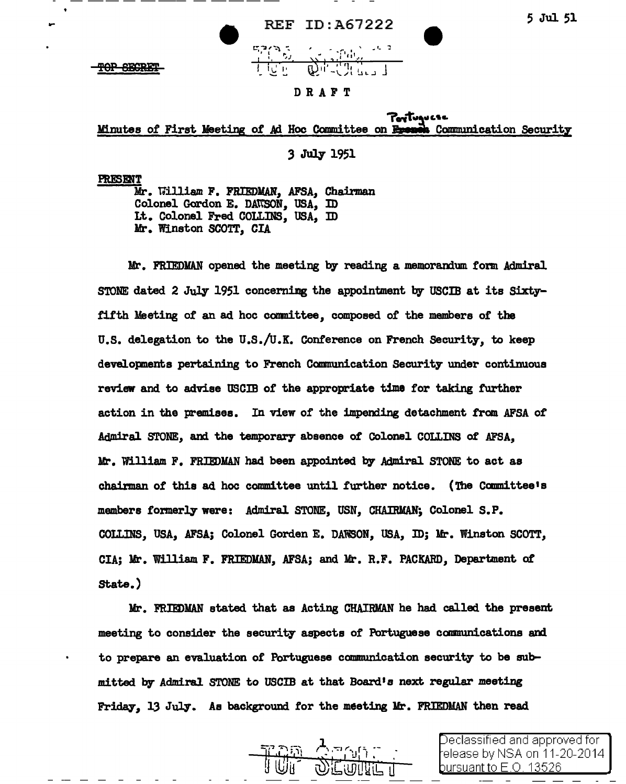

|  | <b>REF ID: A67222</b>  |
|--|------------------------|
|  | $\sim 12.30$<br>17 Jul |

## DRAFT

PerTugucse<br>Minutes of First Meeting of Ad Hoc Committee on Epenen Communication Security

3 July 1951

PRES EMT

Mr. 11illiam F. FRIEDMAN, AFSA, Chairman Colonel Gordon E. DAWSON, USA, ID Lt. Colonel Fred COLLINS, USA, ID Mr. Winston SCOTT, CIA

Mr. FRIEDMAN opened the meeting by reading a memorandum form Admiral STONE dated 2 July 1951 concerning the appointment by USCIB at its Sixtyfifth Meeting of an ad hoc committee, composed of the members of the U.S. delegation to the U.S./U.K. Conference on French Security, to keep developments pertaining to French Communication Security under continuous review and to advise USCIB of the appropriate time tor taking further action in the premises. In view of the impending detachment from AFSA or Admiral STONE, and the temporary absence of Colonel COLLINS of AFSA, Mr. William F. FRIEDMAN had been appointed by Admiral STONE to act as chairman of this ad hoc committee until further notice. (The Camnittee•s members formerly were: Admiral STONE, USN, CHAIRMAN; Colonel S.P. COLLINS, USA, AFSA; Colonel Gorden E. DAWSON, USA, ID; Mr. Winston SCOTT, CIA; Mr. William F. FRIEDYAN, AFSA; and Mr. R.F. PACKARD, Department of state.)

Mr. FRIEDMAN stated that as Acting CHAIRMAN he had called the present meeting to consider the security aspects of Portuguese communications and to prepare an evaluation of Portuguese communication security to be submitted. by Admiral STONE to USCIB at that Board's next. regular meeting Friday, 13 July. As background for the meeting Mr. FRIEDMAN then read



Jeclassified and approved for elease by NSA on 11-20-2014 bursuant to E O .13526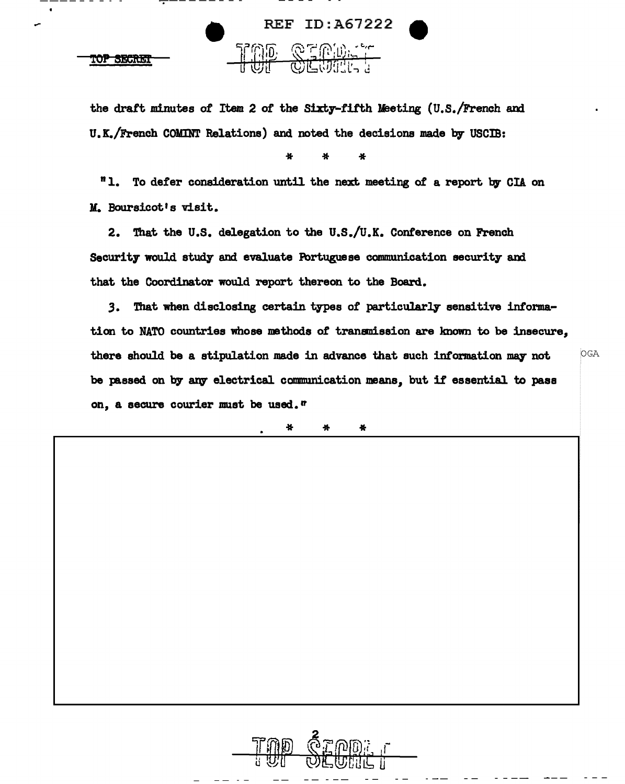

the draft minutes of Item 2 of the Sixty-fifth Ueeting (U.S./French and U.K./French COMINT Relations) and noted the decisions made by USCIB:

\* \* \*

"1. To defer consideration until the next meeting of a report by CIA on *M.* Boursicot•s visit.

2. That the U.S. delegation to the U.S./U.K. Conference on French Security would study and evaluate Portuguese communication security and that the Coordinator would report thereon to the Board.

3. That when disclosing certain types of particularly sensitive information to NATO countries whose methods of trananission are known to be insecure, there should be a stipulation made in advance that such information may not  $OGA$ be passed on by any electrical communication means, but if essential to pass on, a secure courier must be used.<sup>tr</sup>

\* \* \*

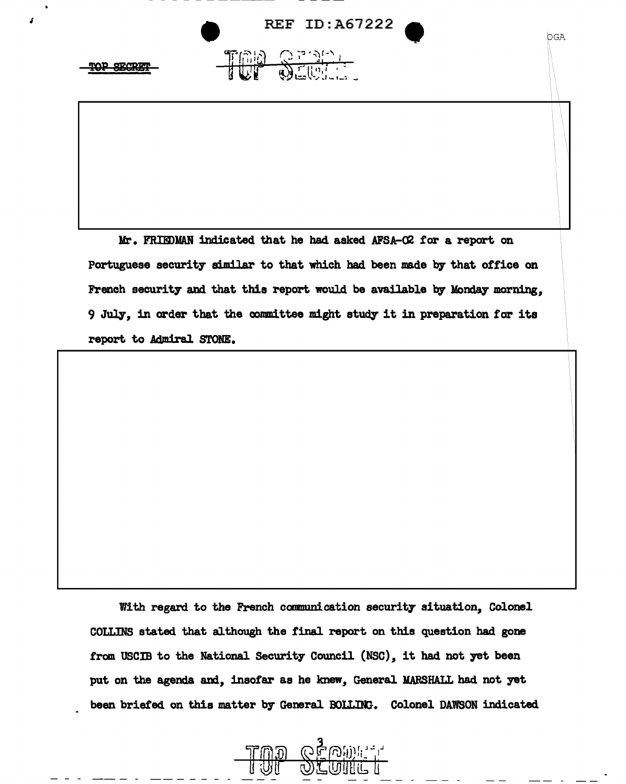**IWF @EUTH.** 



OGA

 $\mathbb{R}$ 

 $\mathcal{L}$ 



Mr. FRIEDMAN indicated that he had asked AFSA-02 for a report on Portuguese security similar to that which had. been made by that office on French security and that this report would. be available by Monday morning, 9 July, in order that the committee might study it in preparation for its report to Admiral STONE.

With regard to the French communication security situation, Colonel COLLINS stated that although the final report on this question had gone from USCIB to the National Security Council (NSC), it had not yet been put on the agenda and, insofar as he knew, General MARSHALL had not yet been briefed on this matter by General BOLLING. Colonel DAWSON indicated

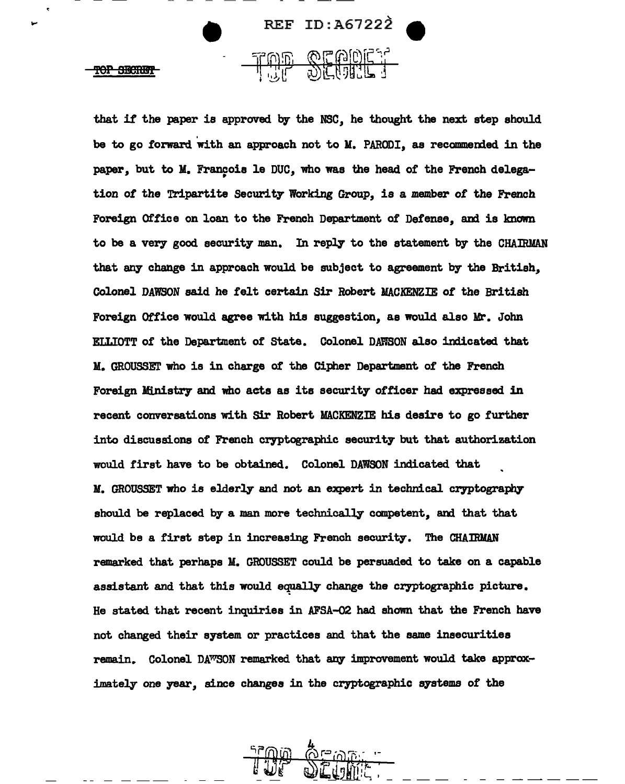

that if the paper is approved by the NSC, he thought the next step should be to go forward with an approach not to M. PARODI, as recommended in the paper, but to M. François le DUC, who was the head of the French delegation of the Tripartite Security Working Group, is a member of the French Foreign Office on loan to the French Department of Defense, and is known to be a very good security man. In reply to the statement by the CHAIRMAN that any change in approach would be subject to agreement by the British, Colonel DAWSON said he felt certain Sir Robert MACKENZIE of the British Foreign Office would agree with his suggestion, as would also Mr. John ELLIOTT of' the Department of State. Colonel DAWSON also indicated that M. GROUSSET who is in charge of the Cipher Department of the French Foreign Ministry and who acts as its security officer had expressed in recent conversations with Sir Robert MACKENZIE his desire to go further into discussions of French cryptographic security but that authorization would first have to be obtained. Colonel DAWSON indicated that M. GROUSSET who is elderly and not an expert in technical cryptography should be replaced by a man more technically competent, and that that would be a first step in increasing French security. The CHAIRMAN remarked that perhaps M. GROUSSET could be persuaded to take on a capable assistant and that this would equally change the cryptographic picture. He stated that recent inquiries in AFSA-02 had shown that the French have not changed their system or practices and that the same insecurities remain. Colonel DAWSON remarked that any improvement would take approximately one year, since changes in the cryptographic systems of the

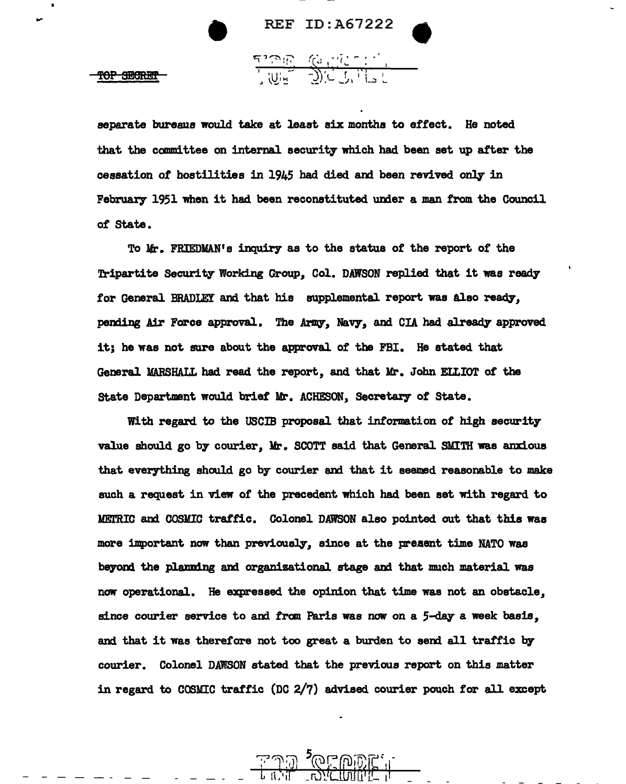## $\begin{array}{ccc}\n & \text{REF ID: A67222} \\
& & \text{REF ID: A67222}\n\end{array}$ **PEF ID:A67222**<br>بالاتران التي تحت التي تحت التي تحت التي تحت التي تحت التي تحت التي تحت التي تحت التي تحت التي تحت التي تحت ا<br>التي تحت التي تحت التي تحت التي تحت التي تحت التي تحت التي تحت التي تحت التي تحت التي تحت التي

<u>ግግቡ (የተመገደ :</u>

separate bureaus would take at least six months to effect. He noted that the committee on internal security which had been set up after the cessation of hostilities in 1945 had died and been revived only in February 1951 when it had been reconstituted under a man from the Council of State.

To Mr. FRIEDMAN's inquiry as to the status of the report of the Tripartite Security Working Group, Col. DAWSON replied that it was ready for General BRADLEY and that his supplemental report was also ready, pending Air Force approval. The Army, Navy, and CIA had already approved it; he was not sure about the approval of the FBI. He stated that General MARSHALL had read the report, and that Mr. John ELtIOT of the State Department would brief Mr. ACHESON, Secretary of State.

With regard to the uscm proposal that information *ot* high security value should go by courier, Mr. SCOTT said that General SMITH was anxious that everything should go by courier and that it seemed reasonable to make such a request in view of the precedent which had been set with regard to METRIC and COSMIC traffic. Colonel DAWSON also pointed out that this was more important now than previously, since at the present time NATO was beyond the planning and organizational stage and that much material was now operational. He expressed the opinion that time was not an obstacle, since courier service to and from Paris was now on a 5-day a week basis, and that it was therefore not too great a burden to send all traffic by courier. Colonel DAWSON stated that the previous report on this matter in regard to COSMIC traffic (DC 2/7) advised courier pouch for all except

<u>JOE DIDE, "</u>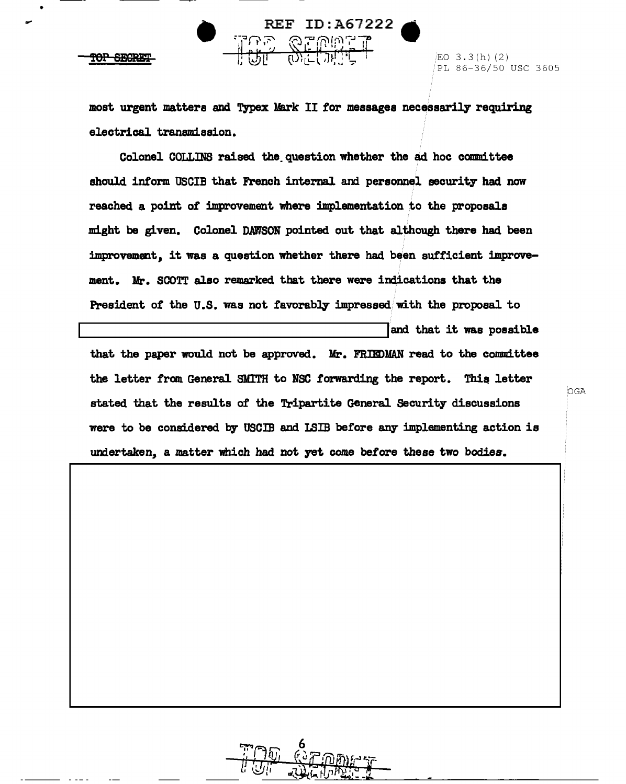•

 $\frac{REF}{TCP}$  **REF ID:A67222** PL 86-36/50 USC 3605

> most urgent matters and Typex Mark II for messages necessarily requiring electrical transmission.

Colonel COLLms raised the.question whether the ad. hoc camnittee should inform USCIB that French internal and personnel security had now reached a point ot improvement where implementation to the proposals might be given. Colonel DAWSON pointed out that although there had been improvement, it was a question whether there had been sufficient improvement. Mr. SCOTT also remarked that there were indications that the President of the U.S. was not favorably impressed with the proposal to and that it was possible that the paper would not be approved. Mr. FRIEDMAN read to the committee the letter from General SMITH to NSC forwarding the report. This letter stated that the results of the Tripartite General Security discussions were to be considered by USCIB and ISIB before any implementing action is undertaken, a matter which had not yet come before these two bodies.

OGA

6 *!* I!.\_ *...::;.1,* "I